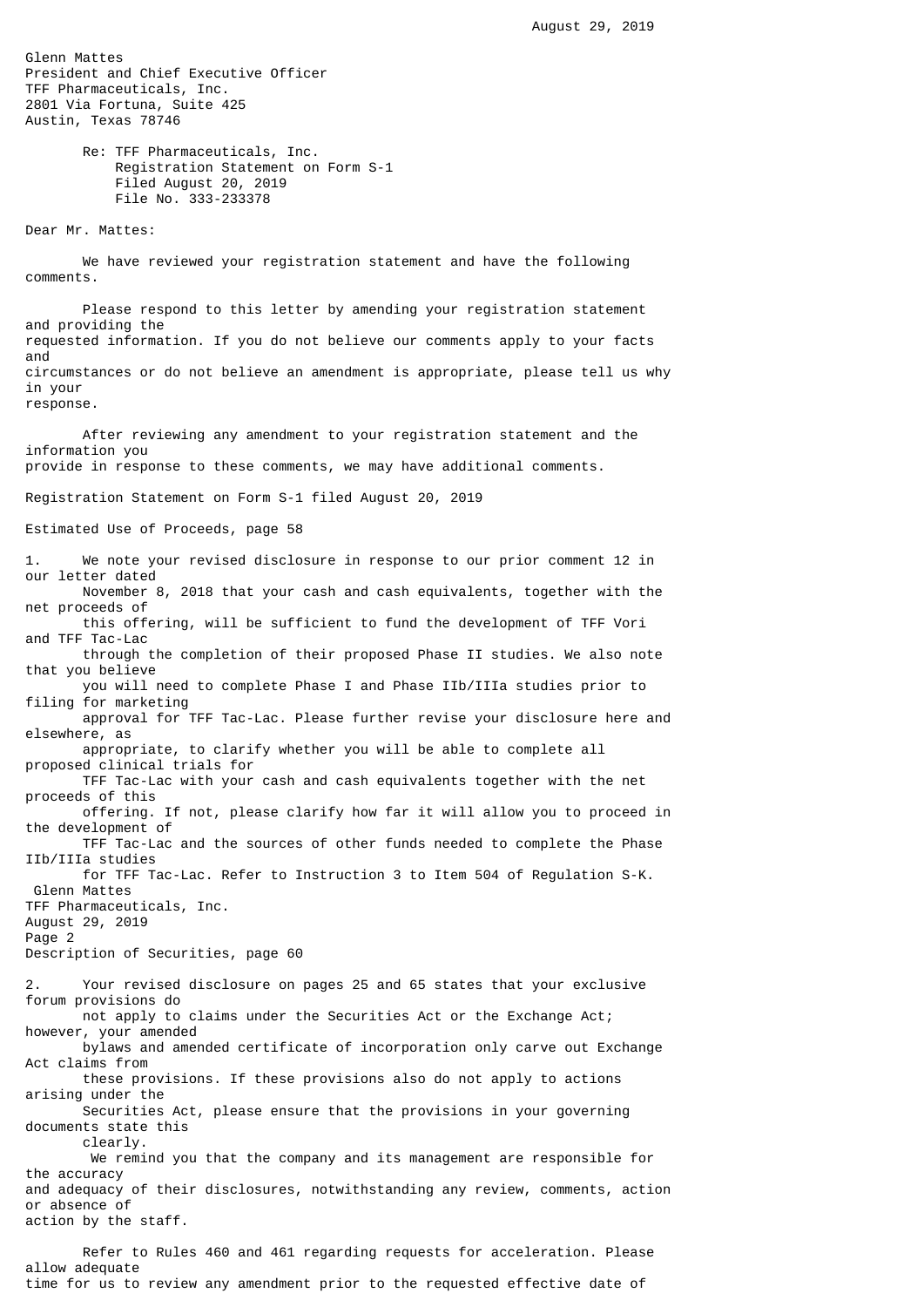Glenn Mattes President and Chief Executive Officer TFF Pharmaceuticals, Inc. 2801 Via Fortuna, Suite 425 Austin, Texas 78746 Re: TFF Pharmaceuticals, Inc. Registration Statement on Form S-1 Filed August 20, 2019 File No. 333-233378 Dear Mr. Mattes: We have reviewed your registration statement and have the following comments. Please respond to this letter by amending your registration statement and providing the requested information. If you do not believe our comments apply to your facts and circumstances or do not believe an amendment is appropriate, please tell us why in your response. After reviewing any amendment to your registration statement and the information you provide in response to these comments, we may have additional comments. Registration Statement on Form S-1 filed August 20, 2019 Estimated Use of Proceeds, page 58 1. We note your revised disclosure in response to our prior comment 12 in our letter dated November 8, 2018 that your cash and cash equivalents, together with the net proceeds of this offering, will be sufficient to fund the development of TFF Vori and TFF Tac-Lac through the completion of their proposed Phase II studies. We also note that you believe you will need to complete Phase I and Phase IIb/IIIa studies prior to filing for marketing approval for TFF Tac-Lac. Please further revise your disclosure here and elsewhere, as appropriate, to clarify whether you will be able to complete all proposed clinical trials for TFF Tac-Lac with your cash and cash equivalents together with the net proceeds of this offering. If not, please clarify how far it will allow you to proceed in the development of TFF Tac-Lac and the sources of other funds needed to complete the Phase IIb/IIIa studies for TFF Tac-Lac. Refer to Instruction 3 to Item 504 of Regulation S-K. Glenn Mattes TFF Pharmaceuticals, Inc. August 29, 2019 Page 2 Description of Securities, page 60 2. Your revised disclosure on pages 25 and 65 states that your exclusive forum provisions do not apply to claims under the Securities Act or the Exchange Act; however, your amended bylaws and amended certificate of incorporation only carve out Exchange Act claims from these provisions. If these provisions also do not apply to actions arising under the Securities Act, please ensure that the provisions in your governing documents state this clearly. We remind you that the company and its management are responsible for the accuracy and adequacy of their disclosures, notwithstanding any review, comments, action or absence of action by the staff.

 Refer to Rules 460 and 461 regarding requests for acceleration. Please allow adequate time for us to review any amendment prior to the requested effective date of